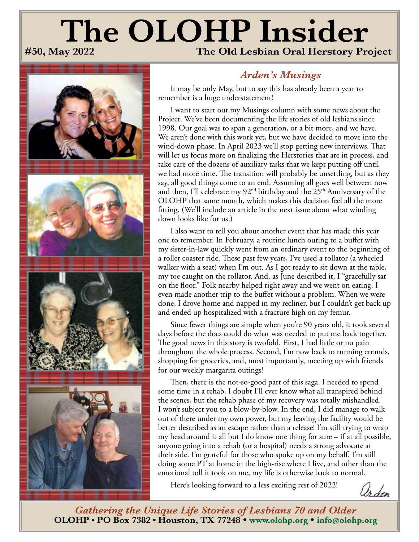# **The OLOHP Insider**<br>#50, May 2022<br>The Old Lesbian Oral Herstory Pro **The Old Lesbian Oral Herstory Project**



# *Arden's Musings*

It may be only May, but to say this has already been a year to remember is a huge understatement!

I want to start out my Musings column with some news about the Project. We've been documenting the life stories of old lesbians since 1998. Our goal was to span a generation, or a bit more, and we have. We aren't done with this work yet, but we have decided to move into the wind-down phase. In April 2023 we'll stop getting new interviews. That will let us focus more on finalizing the Herstories that are in process, and take care of the dozens of auxiliary tasks that we kept putting off until we had more time. The transition will probably be unsettling, but as they say, all good things come to an end. Assuming all goes well between now and then, I'll celebrate my 92<sup>nd</sup> birthday and the 25<sup>th</sup> Anniversary of the OLOHP that same month, which makes this decision feel all the more fitting. (We'll include an article in the next issue about what winding down looks like for us.)

I also want to tell you about another event that has made this year one to remember. In February, a routine lunch outing to a buffet with my sister-in-law quickly went from an ordinary event to the beginning of a roller coaster ride. These past few years, I've used a rollator (a wheeled walker with a seat) when I'm out. As I got ready to sit down at the table, my toe caught on the rollator. And, as June described it, I "gracefully sat on the floor." Folk nearby helped right away and we went on eating. I even made another trip to the buffet without a problem. When we were done, I drove home and napped in my recliner, but I couldn't get back up and ended up hospitalized with a fracture high on my femur.

Since fewer things are simple when you're 90 years old, it took several days before the docs could do what was needed to put me back together. The good news in this story is twofold. First, I had little or no pain throughout the whole process. Second, I'm now back to running errands, shopping for groceries, and, most importantly, meeting up with friends for our weekly margarita outings!

Then, there is the not-so-good part of this saga. I needed to spend some time in a rehab. I doubt I'll ever know what all transpired behind the scenes, but the rehab phase of my recovery was totally mishandled. I won't subject you to a blow-by-blow. In the end, I did manage to walk out of there under my own power, but my leaving the facility would be better described as an escape rather than a release! I'm still trying to wrap my head around it all but I do know one thing for sure – if at all possible, anyone going into a rehab (or a hospital) needs a strong advocate at their side. I'm grateful for those who spoke up on my behalf. I'm still doing some PT at home in the high-rise where I live, and other than the emotional toll it took on me, my life is otherwise back to normal.

Here's looking forward to a less exciting rest of 2022!

Os den

*Gathering the Unique Life Stories of Lesbians 70 and Older* **OLOHP • PO Box 7382 • Houston, TX 77248 • <www.olohp.org> • [info@olohp.org](mailto:info%40olohp.org?subject=The%20OLOHP%20Insider)**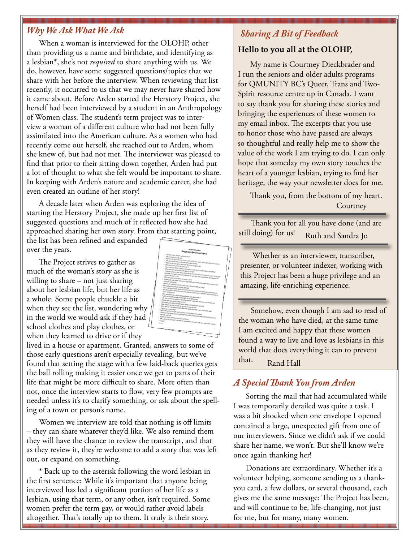## *Why We Ask What We Ask Sharing A Bit of Feedback*

When a woman is interviewed for the OLOHP, other than providing us a name and birthdate, and identifying as a lesbian\*, she's not *required* to share anything with us. We do, however, have some suggested questions/topics that we share with her before the interview. When reviewing that list recently, it occurred to us that we may never have shared how it came about. Before Arden started the Herstory Project, she herself had been interviewed by a student in an Anthropology of Women class. The student's term project was to interview a woman of a different culture who had not been fully assimilated into the American culture. As a women who had recently come out herself, she reached out to Arden, whom she knew of, but had not met. The interviewer was pleased to find that prior to their sitting down together, Arden had put a lot of thought to what she felt would be important to share. In keeping with Arden's nature and academic career, she had even created an outline of her story!

A decade later when Arden was exploring the idea of starting the Herstory Project, she made up her first list of suggested questions and much of it reflected how she had approached sharing her own story. From that starting point,

the list has been refined and expanded over the years.

The Project strives to gather as much of the woman's story as she is willing to share – not just sharing about her lesbian life, but her life as a whole. Some people chuckle a bit when they see the list, wondering why in the world we would ask if they had school clothes and play clothes, or when they learned to drive or if they

lived in a house or apartment. Granted, answers to some of those early questions aren't especially revealing, but we've found that setting the stage with a few laid-back queries gets the ball rolling making it easier once we get to parts of their life that might be more difficult to share. More often than not, once the interview starts to flow, very few prompts are needed unless it's to clarify something, or ask about the spelling of a town or person's name.

Women we interview are told that nothing is off limits – they can share whatever they'd like. We also remind them they will have the chance to review the transcript, and that as they review it, they're welcome to add a story that was left out, or expand on something.

\* Back up to the asterisk following the word lesbian in the first sentence: While it's important that anyone being interviewed has led a significant portion of her life as a lesbian, using that term, or any other, isn't required. Some women prefer the term gay, or would rather avoid labels altogether. That's totally up to them. It truly is their story.

|                                                                                                    | <b><i><u>SAN MOVEM</u></i></b>                                                                                                                                                                          |
|----------------------------------------------------------------------------------------------------|---------------------------------------------------------------------------------------------------------------------------------------------------------------------------------------------------------|
|                                                                                                    | <b>Imported Questions Trains</b>                                                                                                                                                                        |
|                                                                                                    |                                                                                                                                                                                                         |
|                                                                                                    |                                                                                                                                                                                                         |
| · Latitude Latitude School education from 7                                                        |                                                                                                                                                                                                         |
| - Macadonica perso                                                                                 | - Billion of the dealer of the standard lasty state, and producers, the lin                                                                                                                             |
|                                                                                                    |                                                                                                                                                                                                         |
| I Departure documentation and the document                                                         |                                                                                                                                                                                                         |
| I allow any for any other produce the other program of                                             |                                                                                                                                                                                                         |
|                                                                                                    |                                                                                                                                                                                                         |
| . Allegal and artistical details are going and                                                     |                                                                                                                                                                                                         |
| . Who can't you take a strategic receives and can't in collected about anywhere.                   |                                                                                                                                                                                                         |
|                                                                                                    |                                                                                                                                                                                                         |
|                                                                                                    |                                                                                                                                                                                                         |
|                                                                                                    |                                                                                                                                                                                                         |
|                                                                                                    |                                                                                                                                                                                                         |
|                                                                                                    |                                                                                                                                                                                                         |
|                                                                                                    | - Manyathas gives as with things the fundings for it provided that there is not be the first of a get<br>to the that was wound affirmed to be them not want going for the collections. And algorithm to |
| - Who was pre-femalization processes a read                                                        |                                                                                                                                                                                                         |
|                                                                                                    |                                                                                                                                                                                                         |
|                                                                                                    |                                                                                                                                                                                                         |
|                                                                                                    |                                                                                                                                                                                                         |
|                                                                                                    |                                                                                                                                                                                                         |
| . What is all of an extent which is now a pair of prev disk and, if any $\sim$                     | I Security up from experience prior of any difference computer programment pay it prior                                                                                                                 |
| . Belly a street the achiever that you price your                                                  |                                                                                                                                                                                                         |
| . Get us as this or of an information the for you due you analysis to have you a spin to determine |                                                                                                                                                                                                         |
| <b>No. Posters then they put teamings to bring (anything of property)</b>                          |                                                                                                                                                                                                         |
|                                                                                                    |                                                                                                                                                                                                         |
|                                                                                                    |                                                                                                                                                                                                         |
|                                                                                                    |                                                                                                                                                                                                         |
| . We constant and any intervents are excluded and                                                  |                                                                                                                                                                                                         |
| · Fundancial Procession county monetages for an observations                                       |                                                                                                                                                                                                         |
|                                                                                                    |                                                                                                                                                                                                         |
|                                                                                                    |                                                                                                                                                                                                         |
| . Low-text a state was dealers: April of package for many text. When was that the for your         |                                                                                                                                                                                                         |
| . Comey at exciter construction dealership to a state                                              |                                                                                                                                                                                                         |
|                                                                                                    |                                                                                                                                                                                                         |
| I allowed you do also finalize to you can all high schools                                         |                                                                                                                                                                                                         |
|                                                                                                    |                                                                                                                                                                                                         |
| . When the one is a realize studies allowed a detection than the count of the offer area           |                                                                                                                                                                                                         |
| . Sall or allowing ways first and come you need and at salings: If you need?                       |                                                                                                                                                                                                         |
| . Only cly may pay you may player during privation what wind its structure                         |                                                                                                                                                                                                         |
|                                                                                                    |                                                                                                                                                                                                         |
|                                                                                                    |                                                                                                                                                                                                         |
| - Western New oil door you for printing                                                            |                                                                                                                                                                                                         |
|                                                                                                    |                                                                                                                                                                                                         |
|                                                                                                    |                                                                                                                                                                                                         |
|                                                                                                    |                                                                                                                                                                                                         |
| - Net or almost the partiests year the who assumed to be prior critically in a second test         |                                                                                                                                                                                                         |
|                                                                                                    |                                                                                                                                                                                                         |
|                                                                                                    |                                                                                                                                                                                                         |
|                                                                                                    |                                                                                                                                                                                                         |
|                                                                                                    | ٠                                                                                                                                                                                                       |
|                                                                                                    |                                                                                                                                                                                                         |
|                                                                                                    |                                                                                                                                                                                                         |
|                                                                                                    |                                                                                                                                                                                                         |
|                                                                                                    |                                                                                                                                                                                                         |

#### **Hello to you all at the OLOHP,**

My name is Courtney Dieckbrader and I run the seniors and older adults programs for QMUNITY BC's Queer, Trans and Two-Spirit resource centre up in Canada. I want to say thank you for sharing these stories and bringing the experiences of these women to my email inbox. The excerpts that you use to honor those who have passed are always so thoughtful and really help me to show the value of the work I am trying to do. I can only hope that someday my own story touches the heart of a younger lesbian, trying to find her heritage, the way your newsletter does for me.

Thank you, from the bottom of my heart. **Courtney** 

Thank you for all you have done (and are still doing) for us! Ruth and Sandra Jo

Whether as an interviewer, transcriber, presenter, or volunteer indexer, working with this Project has been a huge privilege and an amazing, life-enriching experience.

Somehow, even though I am sad to read of the woman who have died, at the same time I am excited and happy that these women found a way to live and love as lesbians in this world that does everything it can to prevent that. Rand Hall

#### *A Special Thank You from Arden*

Sorting the mail that had accumulated while I was temporarily derailed was quite a task. I was a bit shocked when one envelope I opened contained a large, unexpected gift from one of our interviewers. Since we didn't ask if we could share her name, we won't. But she'll know we're once again thanking her!

Donations are extraordinary. Whether it's a volunteer helping, someone sending us a thankyou card, a few dollars, or several thousand, each gives me the same message: The Project has been, and will continue to be, life-changing, not just for me, but for many, many women.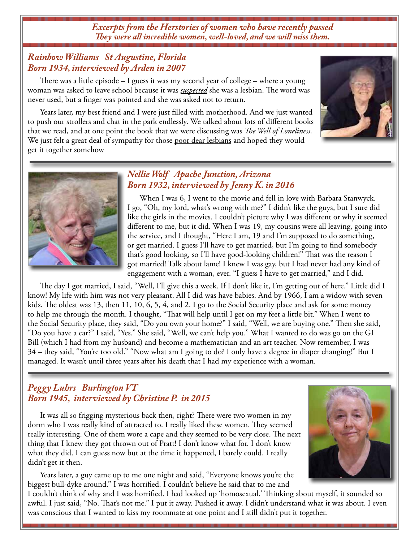*Excerpts from the Herstories of women who have recently passed They were all incredible women, well-loved, and we will miss them.* 

#### *Rainbow Williams St Augustine, Florida Born 1934, interviewed by Arden in 2007*

There was a little episode  $-1$  guess it was my second year of college  $-$  where a young woman was asked to leave school because it was *suspected* she was a lesbian. The word was never used, but a finger was pointed and she was asked not to return.

Years later, my best friend and I were just filled with motherhood. And we just wanted to push our strollers and chat in the park endlessly. We talked about lots of different books that we read, and at one point the book that we were discussing was *The Well of Loneliness*. We just felt a great deal of sympathy for those poor dear lesbians and hoped they would get it together somehow





#### *Nellie Wolf Apache Junction, Arizona Born 1932, interviewed by Jenny K. in 2016*

When I was 6, I went to the movie and fell in love with Barbara Stanwyck. I go, "Oh, my lord, what's wrong with me?" I didn't like the guys, but I sure did like the girls in the movies. I couldn't picture why I was different or why it seemed different to me, but it did. When I was 19, my cousins were all leaving, going into the service, and I thought, "Here I am, 19 and I'm supposed to do something, or get married. I guess I'll have to get married, but I'm going to find somebody that's good looking, so I'll have good-looking children!" That was the reason I got married! Talk about lame! I knew I was gay, but I had never had any kind of engagement with a woman, ever. "I guess I have to get married," and I did.

The day I got married, I said, "Well, I'll give this a week. If I don't like it, I'm getting out of here." Little did I know! My life with him was not very pleasant. All I did was have babies. And by 1966, I am a widow with seven kids. The oldest was 13, then 11, 10, 6, 5, 4, and 2. I go to the Social Security place and ask for some money to help me through the month. I thought, "That will help until I get on my feet a little bit." When I went to the Social Security place, they said, "Do you own your home?" I said, "Well, we are buying one." Then she said, "Do you have a car?" I said, "Yes." She said, "Well, we can't help you." What I wanted to do was go on the GI Bill (which I had from my husband) and become a mathematician and an art teacher. Now remember, I was 34 – they said, "You're too old." "Now what am I going to do? I only have a degree in diaper changing!" But I managed. It wasn't until three years after his death that I had my experience with a woman.

### *Peggy Luhrs Burlington VT Born 1945, interviewed by Christine P. in 2015*

It was all so frigging mysterious back then, right? There were two women in my dorm who I was really kind of attracted to. I really liked these women. They seemed really interesting. One of them wore a cape and they seemed to be very close. The next thing that I knew they got thrown out of Pratt! I don't know what for. I don't know what they did. I can guess now but at the time it happened, I barely could. I really didn't get it then.

Years later, a guy came up to me one night and said, "Everyone knows you're the biggest bull-dyke around." I was horrified. I couldn't believe he said that to me and



I couldn't think of why and I was horrified. I had looked up 'homosexual.' Thinking about myself, it sounded so awful. I just said, "No. That's not me." I put it away. Pushed it away. I didn't understand what it was about. I even was conscious that I wanted to kiss my roommate at one point and I still didn't put it together.